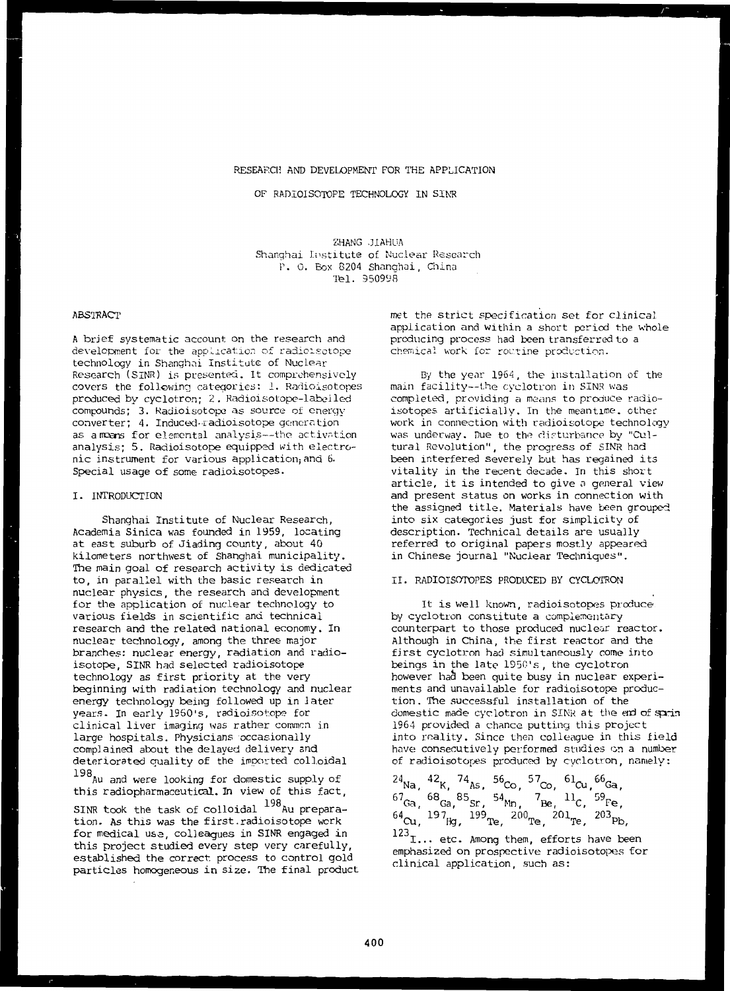# RESEARCH AND DEVELOPMENT FOR THE APPLICATION

OF RADIOISOTOPE TECHNOLOGY IN SINR

ZHANG J1AHUA Shanghai Institute of Nuclear Research P. 0. Box 8204 Shanghai, China Tel. 950998

# ABSTRACT

A brief systematic account on the research and development for the application of radioisctope technology in Shanghai Institute of Nuclear Research (SINR) is presented. It comprehensively covers the following categories: 1. Radioisotopes produced by cyclotron; 2 . Radioisotope-labeiled compounds; 3. Radioisotope as source of energy converter; 4. Induced-radioisotope generation as a moans for elemental analysis--the activation analysis: 5. Radioisotope equipped with electronic instrument for various application; and 6. Special usage of some radioisotopes.

## I. INTRODUCTION

Shanghai Institute of Nuclear Research, Academia Sinica was founded in 1959, locating at east suburb of Jiading county, about 40 kilometers northwest of Shanghai municipality. The main goal of research activity is dedicated to, in parallel with the basic research in nuclear physics, the research and development for the application of nuclear technology to various fields in scientific and technical research and the related national economy. In nuclear technology, among the three major branches: nuclear energy, radiation and radioisotope, SINR had selected radioisotope technology as first priority at the very beginning with radiation technology and nuclear energy technology being followed up in later years. In early 1960's, radioisotope for clinical liver imaging was rather common in large hospitals. Physicians occasionally complained about the delayed delivery and deteriorated quality of the imported colloidal

198<sub>Au and</sub> were looking for domestic supply of this radiopharmaceutical. In view of this fact,

198 SINR took the task of colloidal Au preparation. As this was the first.radioisotope work for medical usa, colleagues in SINR engaged in this project studied every step very carefully, established the correct, process to control gold particles homogeneous in size. The final product met the strict specification set for clinical application and within a short period the whole producing process had been transferred to a chemical work for routine production.

By the year 1964, the installation of the main facility—the cyclotron in SINR was completed, providing a means to produce radioisotopes artificially. In the meantime, other work in connection with radioisotope technology was underway. Due to the disturbance by "Cultural Revolution", the progress of SINR had been interfered severely but has regained its vitality in the recent decade. In this short article, it is intended to give a general view and present status on works in connection with the assigned title. Materials have been grouped into six categories just for simplicity of description. Technical details are usually referred to original papers mostly appeared in Chinese journal "Nuclear Techniques".

# II. RADIOISOTOPES PRODUCED BY CYCLOTRON

It is well known, radioisotopes produce by cyclotron constitute a complementary counterpart to those produced nuclear reactor. Although in China, the first reactor and the first cyclotron had simultaneously come into beings in the late 1950's, the cyclotron however had been quite busy in nuclear experiments and unavailable for radioisotope production. The successful installation of the domestic made cyclotron in SINR at the end of sprin 1964 provided a chance putting this project into reality. Since then colleague in this field have consecutively performed studies on a number of radioisotopes produced by cyclotron, namely:

<sup>24</sup>Na, <sup>42</sup>K, <sup>74</sup>As, <sup>56</sup>Co, <sup>57</sup>Co, <sup>61</sup>Cu,<sup>66</sup>Ga <sup>67</sup>Ga, <sup>68</sup>Ga,<sup>85</sup>Sr, <sup>54</sup>Mn, <sup>7</sup>Be, <sup>11</sup>C, <sup>59</sup>Fe <sup>64</sup>Cu, <sup>197</sup>Hg, <sup>199</sup>Te, <sup>200</sup>Te, <sup>201</sup>Te, <sup>203</sup>Pb

 $123$ <sub>I...</sub> etc. Among them, efforts have been emphasized on prospective radioisotopes for clinical application, such as: clinical application, such as: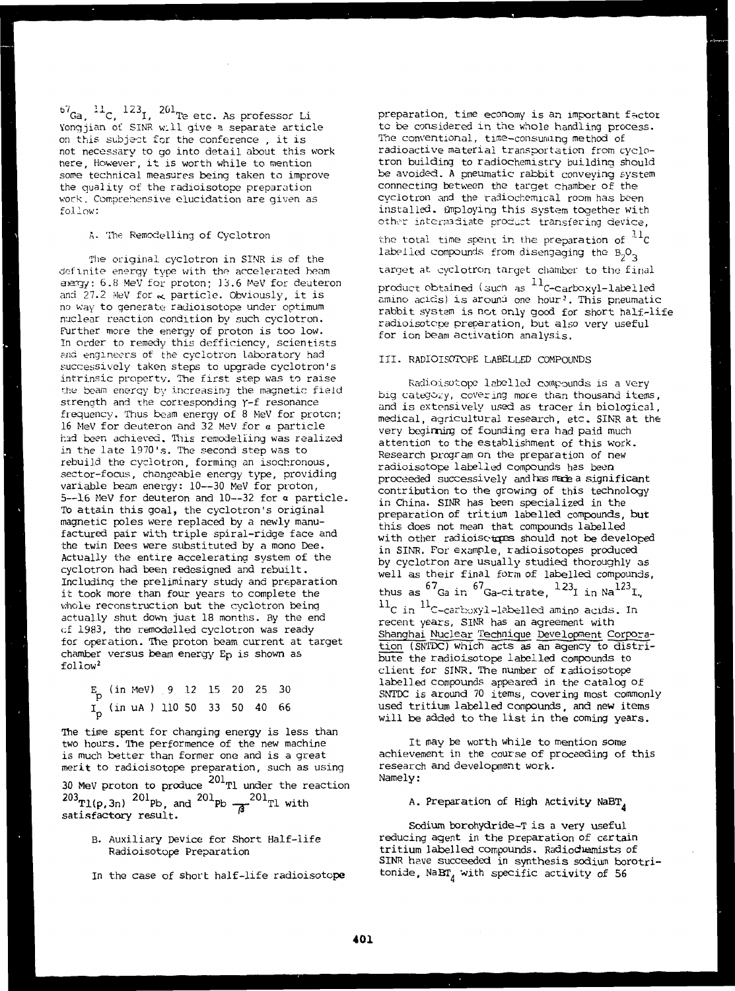$^{67}$ Ga,  $^{11}$ C,  $^{123}$ I,  $^{201}$ Te etc. As professor Li Yongjian of SINR will give a separate article on this subject for the conference , it is not necessary to go into detail about this work here. However, it is worth while to mention some technical measures being taken to improve the quality of the radioisotope preparation work. Comprehensive elucidation are given as follow:

# A. The Remodelling of Cyclotron

The original cyclotron in S1NR is of the definite energy type with the accelerated beam aiergy: 6.8 MeV for proton; 13.6 MeV for deuteron and  $27.2$  MeV for  $\ltimes$  particle. Obviously, it is no way to generate radioisotope under optimum nuclear reaction condition by such cyclotron. Further more the energy of proton is too low. In order to remedy this defficiency, scientists and engineers of the cyclotron laboratory had successively taken steps to upgrade cyclotron's intrinsic property. The first step was to raise the beam energy by increasing the magnetic field strength and the corresponding Y-f resonance frequency. Thus beam energy of 8 MeV for proton; 16 MeV for deuteron and 32 MeV for a particle had been achieved. This remodelling was realized in the late 1970's. The second step was to rebuild the cyclotron, forming an isochronous, sector-focus, changeable energy type, providing variable beam energy: 10—30 MeV for proton, 5—16 MeV for deuteron and 10—32 for a particle. To attain this goal, the cyclotron's original magnetic poles were replaced by a newly manufactured pair with triple spiral-ridge face and the twin Dees were substituted by a mono Dee. Actually the entire accelerating system of the cyclotron had been redesigned and rebuilt. Including the preliminary study and preparation it took more than four years to complete the whole reconstruction but the cyclotron being actually shut down just 18 months. By the end cf 1983, the remodelled cyclotron was ready for operation. The proton beam current at target chamber versus beam energy Ep is shown as cileniidei<br>cileniidei

|  | $E_D$ (in MeV) 9 12 15 20 25 30  |  |  |  |  |
|--|----------------------------------|--|--|--|--|
|  | $I_p$ (in uA) 110 50 33 50 40 66 |  |  |  |  |

The time spent for changing energy is less than two hours. The performence of the new machine is much better than former one and is a great merit to radioisotope preparation, such as using 30 MeV proton to produce  $^{203}$ Tl(p,3n)  $^{201}$ Pb, and  $^{201}$ Pl satisfactory result. Tl under the reaction  $\overline{a}^{201}$ Tl with

- B. Auxiliary Device for Short Half-life Radioisotope Preparation
- In the case of short half-life radioisotope

preparation, time economy is an important factor to be considered in the whole handling process. The conventional, time-consuming method of radioactive material transportation from cyclotron building to radiochemistry building should be avoided. A pneumatic rabbit conveying system connecting between the target chamber of the cyclotron and the radiochemical room has been installed. Employing this system together with other intermadiate product transfering device,

the total time spent in the preparation of  $^{11}$ C labelled compounds from disengaging the  $B_2O_3$ target at cyclotron target chamber to the final product obtained (such as  $^{\rm 11}$ C-carboxyl-labelled amino acids) is around one hour<sup>3</sup>. This pneumatic rabbit system is not only good for short half-life radioisotcpe preparation, but also very useful for ion beam activation analysis.

#### III. RADIOISOTOPE LABELLED COMPOUNDS

Radioisotope labelled compounds is a very big category, covering more than thousand items, and is extensively used as tracer in biological, medical, agricultural research, etc. SINR at the very beginning of founding era had paid much attention to the establishment of this work. Research program on the preparation of new radioisotope labelled compounds has been proceeded successively and has made a significant contribution to the growing of this technology in China. SINR has been specialized in the preparation of tritium labelled compounds, **but** this does not mean that compounds labelled with other radioisctopes should not be developed in SINR. For example, radioisotopes produced by cyclotron are usually studied thoroughly as well as their final form of labelled compounds, thus as  $\mathrm{^{6}}'$ Ga in  $\mathrm{^{6}}'$ Ga-citrate,  $\mathrm{^{123}I}$  in Na $\mathrm{^{123}I}$  $^{11}\rm{C}$  in  $^{11}\rm{C}$  -carboxyl-labelled amino acids. In recent years, SINR has an agreement with Shanghai Nuclear Technique Development Corporation (SNTDC) which acts as an agency to distribute the radioisotope labelled compounds to client for SINR. The number of radioisotope labelled compounds appeared in the catalog of SNTDC is around 70 items, covering most commonly used tritium labelled compounds, and new items will be added to the list in the coming years.

It may be worth while to mention some achievement in the course of proceeding of this research and development work. Namely:

# A. Preparation of High Activity NaBT<sub>A</sub>

Sodium borohydride-T is a very useful reducing agent in the preparation of certain tritium labelled compounds. Radioduynists of SINR have succeeded in synthesis sodium borotritonide,  $NABT_A$  with specific activity of 56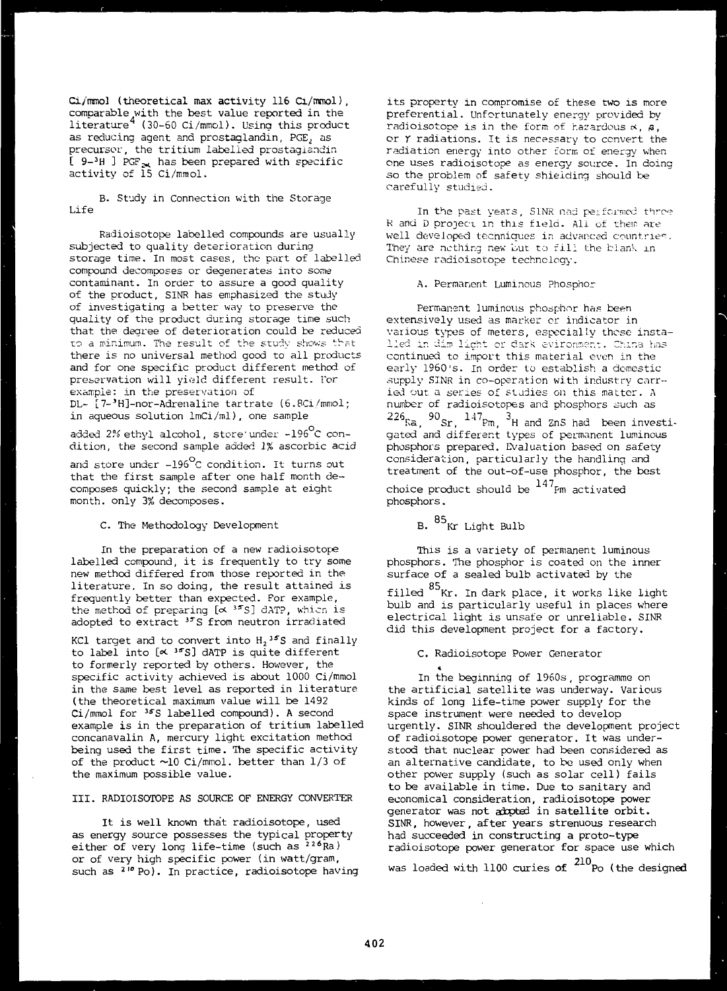$Ci/mmol$  (theoretical max activity  $116$  Ci/mmol), comparable with the best value reported in the literature (30-60 Ci/mmol). Using this product as reducing agent and prostaglandin, PGE, as precursor, the tritium labelled prostagiandin  $[$  9-3H ] PGF<sub>2</sub> has been prepared with specific activity of 15 Ci/mmol.

B. Study in Connection with the Storage Life

Radioisotope labelled compounds are usually subjected to quality deterioration during storage time. In most cases, the part of labelled compound decomposes or degenerates into some contaminant. In order to assure a good quality of the product, SINR has emphasized the study of investigating a better way to preserve the quality of the product during storage time such that the degree of deterioration could be reduced to a minimum. The result of the study shows that there is no universal method good to all products and for one specific product different method of preservation will yield different result. Tor example: in the preservation of DL- [7-'H]-nor-Adrenaline tartrate (6.8Ci/mmol;

in aqueous solution lmCi/ml), one sample

added 2% ethyl alcohol, store'under -196°C condition, the second sample added 1% ascorbic acid

and store under  $-196^{\circ}$ C condition. It turns out that the first sample after one half month decomposes quickly; the second sample at eight month, only 3% decomposes.

C. The Methodology Development

In the preparation of a new radioisotope labelled compound, it is frequently to try some new method differed from those reported in the literature. In so doing, the result attained is frequently better than expected. For example, the method of preparing  $[\propto$  <sup>35</sup>S] dATP, whicn is adopted to extract <sup>35</sup>S from neutron irradiated

KCl target and to convert into  $\text{H}_{2}$ <sup>35</sup>S and finally to label into [**< <sup>35</sup>S]** dATP is quite different to formerly reported by others. However, the specific activity achieved is about 1000 Ci/mmol in the same best level as reported in literature (the theoretical maximum value will be 1492 Ci/mmol for <sup>35</sup>S labelled compound). A second example is in the preparation of tritium labelled concanavalin A, mercury light excitation method being used the first time. The specific activity of the product ~10 Ci/mmol. better than 1/3 of the maximum possible value.

III. RADIOISOTOPE AS SOURCE OF ENERGY CONVERTER

It is well known that radioisotope, used as energy source possesses the typical property either of very long life-time (such as <sup>226</sup>Ra) or of very high specific power (in watt/gram, such as <sup>210</sup> Po). In practice, radioisotope having its property in compromise of these two is more preferential. Unfortunately energy provided by radioisotope is in the form of hazardous  $\alpha$ ,  $\beta$ , or  $\gamma$  radiations. It is necessary to convert the radiation energy into other form of energy when one uses radioisotope as energy source. In doing so the problem of safety shielding should be carefully studied.

In the past years, SINR nad performed three R and D project in this field. All of them are well developed techniques in advanced countries. They are nothing new but to fill the blank in Chinese radioisotope technology.

A. Permanent Luminous Phosphor

Permanent luminous phosphor has been extensively used as marker or indicator in various types of meters, especially those installed in dim licht or dark evironment. China has continued to import this material even in the early 1960's. In order to establish a domestic supply SINR in co-operation with industry carried out a series of studies on this matter. A number of radioisotopes and phosphors auch as  $22\%$ Ra,  $20\%$ Sr,  $14\%$ Pm,  $3H$  and ZnS had been investi gated and different types of permanent luminous phosphors prepared. Evaluation based on safety consideration, particularly the handling and treatment of the out-of-use phosphor, the best

choice product should be  $^{147}$ Pm activated phosphors.

# B.  $85$ <sub>Kr Light Bulb</sub>

This is a variety of permanent luminous phosphors. The phosphor is coated on the inner surface of a sealed bulb activated by the

filled  $^{85}\rm{Kr}.$  In dark place, it works like light bulb and is particularly useful in places where electrical light is unsafe or unreliable. SINR did this development project for a factory.

C. Radioisotope Power Generator

In the beginning of 1960s , programme on the artificial satellite was underway. Various kinds of long life-time power supply for the space instrument were needed to develop urgently. SINR shouldered the development project of radioisotope power generator. It was understood that nuclear power had been considered as an alternative candidate, to be used only when other power supply (such as solar cell) fails to be available in time. Due to sanitary and economical consideration, radioisotope power generator was not adopted in satellite orbit. SINR, however, after years strenuous research had succeeded in constructing a proto-type radioisotope power generator for space use which

was loaded with  $1100$  curies of  $^{210}$ Po (the designed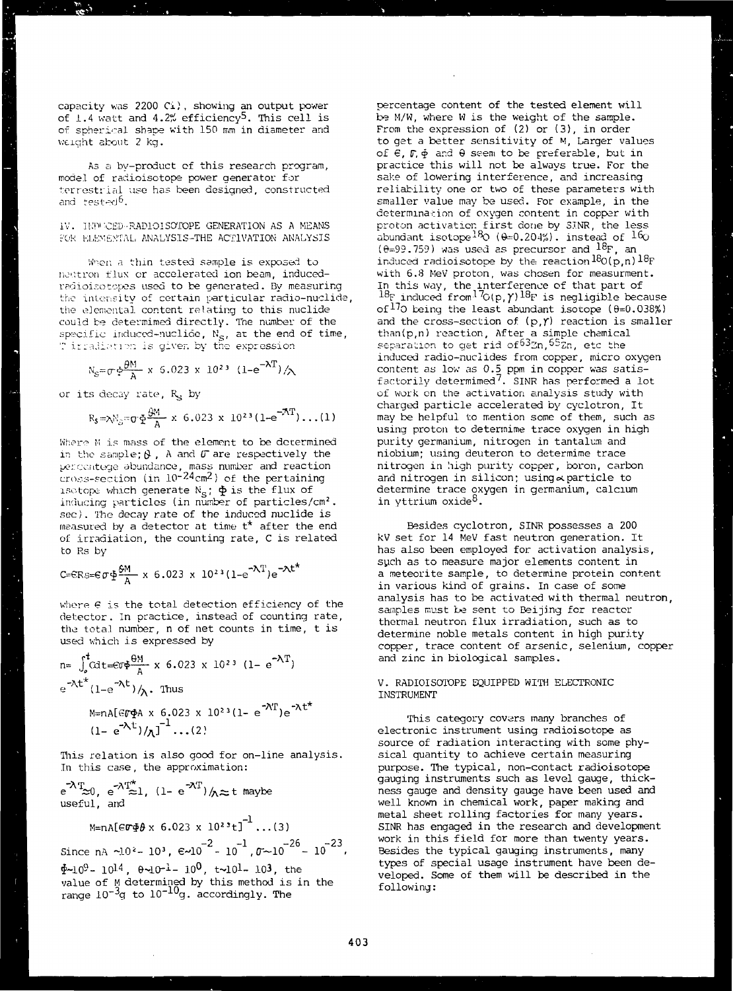capacity was 2200 Ci), showing an output power of 1.4 watt and A.2% efficiency<sup>5</sup>. This cell is of spherical shape with 150 mm in diameter and weight about 2 kg.

As a by-product of this research program, model of radioisotope power generator for terrestrial use has been designed, constructed and tested<sup>6</sup>.

IV. ll.'ni'CED-RADIOISOTOPE GENERATION AS A MEANS FOR ELEMENTAL ANALYSIS-THE ACTIVATION ANALYSIS

When a thin tested sample is exposed to noutron flux or accelerated ion beam, inducedradioisotopes used to be generated. By measuring the intensity of certain particular radio-nuclide the elemental content relating to this nuclide could be determimed directly. The number of the  ${\sf specific\,\, induced\text{-}nucli\of}$ ,  $\aleph_{\texttt{S}},$  at the end of time, ' irradiation is given by the expression

$$
N_S = \sigma \phi \frac{\theta M}{A} \times 6.023 \times 10^{23} (1 - e^{-\lambda T}) / \lambda
$$

or its decay rate, R<sub>S</sub> by

l,

$$
R_S = \lambda N_S = \sigma \Phi \frac{\partial M}{A} \times 6.023 \times 10^{23} (1 - e^{-\lambda T}) \dots (1)
$$

Where M is mass of the element to be determined in the sample;  $\beta$ , A and  $\sigma$  are respectively the percentege abundance, mass number and reaction  $\frac{1}{2}$ cross-section (in  $10^{-24}$ cm<sup>2</sup>) of the pertaining isotope which generate  $N_S$ ;  $\Phi$  is the flux of inducing particles (in number of particles/cm<sup>2</sup>. sec). The decay rate of the induced nuclide is measured by a detector at time t\* after the end of irradiation, the counting rate, C is related to Rs by

$$
\text{C=ERs=}\text{G}\Phi\frac{\theta M}{A} \times 6.023 \times 10^{23} (1-e^{-\lambda T})e^{-\lambda t^{*}}
$$

where  $\epsilon$  is the total detection efficiency of the detector. In practice, instead of counting rate, the total number, n of net counts in time, t is used which is expressed by

$$
n = \int_{0}^{t} \text{Cdt} = \text{C} \Phi \frac{\Theta M}{A} \times 6.023 \times 10^{23} (1 - e^{-\lambda T})
$$
  
\n
$$
e^{-\lambda t^{*}} (1 - e^{-\lambda t}) / \lambda.
$$
 Thus  
\n
$$
M = nA [\text{C} \Phi A \times 6.023 \times 10^{23} (1 - e^{-\lambda T}) e^{-\lambda t^{*}}
$$
  
\n
$$
(1 - e^{-\lambda t}) / \lambda^{-1} ... (2)
$$

This relation is also good for on-line analysis. In this case, the approximation:

 $\mathrm{e}^{-\!\lambda \mathrm{T}}\!\!\approx\!\! 0$ ,  $\mathrm{e}^{-\!\lambda \mathrm{T}}\!\!\approx\!\! 1$ , (1-  $\mathrm{e}^{-\!\lambda \mathrm{T}}$ ) $/\!\!{}_{\textstyle\wedge}\!\!\approx\!$ t maybe useful, and

$$
\text{M=nA}[\text{erg$\theta$}\times 6.023 \times 10^{23} \text{t}]^{-1} \dots (3)
$$

Since nA ~10\*- 10\*,  $\varepsilon$ ~10<sup>-2</sup>- 10<sup>-1</sup>, $\sigma$ ~10<sup>-26</sup>- 10<sup>-23</sup>  $\Phi{\sim}10^9$ - 10<sup>14</sup>,  $\theta{\sim}10^{-1}$ - 10 $^{\mathsf{U}}$ , t ${\sim}10^1$ - 10 $^{\mathsf{3}}$ , the value of M determined by this method is in the range  $10^{-3}$ g to  $10^{-10}$ g. accordingly. The

percentage content of the tested element will be H/W, where W is the weight of the sample. From the expression of (2) or (3), in order to get a better sensitivity of M, Larger values of  $\epsilon$ ,  $\sigma$ ,  $\phi$  and  $\theta$  seem to be preferable, but in practice this will not be always true. For the sake of lowering interference, and increasing reliability one or two of these parameters with smaller value may be used. For example, in the determination of oxygen content in copper with proton activation first done by 3.TNR, the less abundant isotope $^{18}$ O (0=0.204%). instead of  $^{16}$ C  $(\theta=99.759)$  was used as precursor and  $^{18}F$ , an induced radioisotope by the reaction  $^{18}$ O(p,n)  $^{18}$ F with 6.8 MeV proton, was chosen for measurment. In this way, the interference of that part of  $^{18}$ F induced from<sup>17</sup> $G(p, \gamma)$ <sup>18</sup>F is negligible because of<sup>17</sup>0 being the least abundant isotope  $(\theta=0.038\%)$ and the cross-section of  $(p, y)$  reaction is smaller than(p.n) reaction. After a simple chemical separation to get rid of  $63$ n,  $65$ <sub>2n</sub>, etc the induced radio-nuciides from copper, micro oxygen content as low as 0.5 ppm in copper was satisfactorily determimed<sup>7</sup>. SINR has performed a lot of work on the activation analysis study with charged particle accelerated by cyclotron, It may be helpful to mention some of them, such as using proton to determime trace oxygen in high purity germanium, nitrogen in tantalum and niobium; using deuteron to determime trace nitrogen in high purity copper, boron, carbon and nitrogen in silicon; using  $\sim$  particle to determine trace oxygen in germanium, calcium  $\frac{1}{2}$   $\frac{1}{2}$   $\frac{1}{2}$   $\frac{1}{2}$   $\frac{1}{2}$   $\frac{1}{2}$   $\frac{1}{2}$ 

Besides cyclotron, SINR possesses a 200 kV set for 14 MeV fast neutron generation. It has also been employed for activation analysis, such as to measure major elements content in a meteorite sample, to determine protein content in various kind of grains. In case of some analysis has to be activated with thermal neutron, samples must be sent to Beijing for reactor thermal neutron flux irradiation, such as to determine noble metals content in high purity copper, trace content of arsenic, selenium, copper and zinc in biological samples.

# V. RADIOISOTOPE EQUIPPED WITH ELECTRONIC INSTRUMENT

This category covars many branches of electronic instrument using radioisotope as source of radiation interacting with some physical quantity to achieve certain measuring purpose. The typical, non-contact radioisotope gauging instruments such as level gauge, thickness gauge and density gauge have been used and well known in chemical work, paper making and metal sheet rolling factories for many years. SINR has engaged in the research and development work in this field for more than twenty years. Besides the typical gauging instruments, many types of special usage instrument have been developed. Some of them will be described in the following: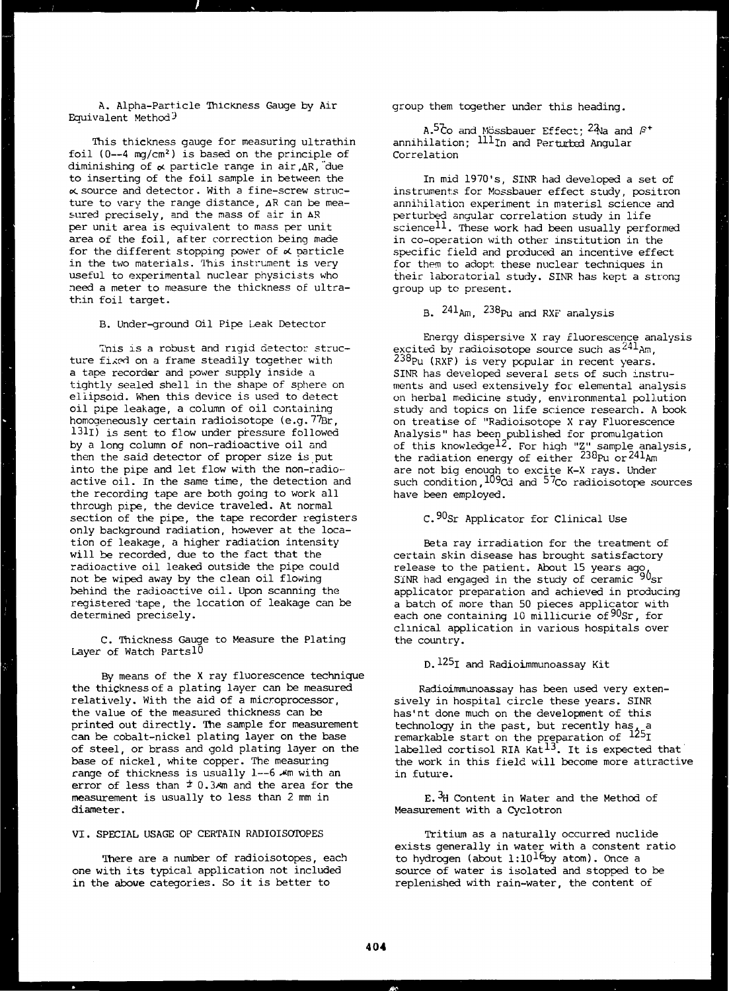A. Alpha-Particle Thickness Gauge by Air Equivalent Method<sup>3</sup>

This thickness gauge for measuring ultrathin foil  $(0-4 \text{ mg/cm}^2)$  is based on the principle of diminishing of  $\alpha$  particle range in air  $AR$ , due to inserting of the foil sample in between the  $\boldsymbol{\kappa}$  source and detector. With a fine-screw structure to vary the range distance, AR can be measured precisely, and the mass of air in AR per unit area is equivalent to mass per unit area of the foil, after correction being made for the different stopping power of  $\alpha$  particle in the two materials. This instrument is very useful to experimental nuclear physicists who need a meter to measure the thickness of ultrathin foil target.

B. Under-ground Oil Pipe Leak Detector

This is a robust and rigid detector structure fixed on a frame steadily together with a tape recorder and power supply inside a tightly sealed shell in the shape of sphere on ellipsoid. When this device is used to detect oil pipe leakage, a column of oil containing homogeneously certain radioisotcpe (e.g.77ßr, 131I) is sent to flow under pressure followed by a long column of non-radioactive oil and then the said detector of proper size is put into the pipe and let flow with the non-radioactive oil. In the same time, the detection and the recording tape are both going to work all through pipe, the device traveled. At normal section of the pipe, the tape recorder registers only background radiation, however at the location of leakage, a higher radiation intensity will be recorded, due to the fact that the radioactive oil leaked outside the pipe could not be wiped away by the clean oil flowing behind the radioactive oil. Upon scanning the registered tape, the location of leakage can be determined precisely.

C. Thickness Gauge to Measure the Plating Layer of Watch Parts10

By means of the X ray fluorescence technique the thickness of a plating layer can be measured relatively. With the aid of a microprocessor, the value of the measured thickness can be printed out directly. The sample for measurement can be cobalt-nickel plating layer on the base of steel, or brass and gold plating layer on the base of nickel, white copper. The measuring range of thickness is usually 1—6 Am with an error of less than  $\pm$  0.3 $\mu$ m and the area for the measurement is usually to less than 2 mm in diameter.

# VI. SPECIAL USAGE OF CERTAIN RADIOISOTOPES

There are a number of radioisotopes, each one with its typical application not included in the abowe categories. So it is better to

group them together under this heading.

and Mössbauer Effect; <sup>24</sup>Na and ß\* annihilation;  $^{\text{\tiny{I\bot I}}}$ In and Perturbed Angular Correlation

In mid 1970's, SINR had developed a set of instruments for Mossbauer effect study, positron annihilation experiment in materisl science and perturbed angular correlation study in life science<sup>11</sup>. These work had been usually performed in co-operation with other institution in the specific field and produced an incentive effect for them to adopt, these nuclear techniques in their laboratorial study. SINR has kept a strong group up to present.

B. <sup>241</sup>Am, <sup>238</sup>Pu and RXF analysis

Energy dispersive X ray fluorescence analysis excited by radioisotope source such as  $444$ Am, <sup>238</sup>Pu (RXF) is very popular in recent years. SINR has developed several sets of such instruments and used extensively for elemental analysis on herbal medicine study, environmental pollution study and topics on life science research. A book on treatise of "Radioisotope X ray Fluorescence Analysis" has been published for promulgation of this knowledge $^{12}$ . For high "Z" sample analysis, the radiation energy of either  $238p_u$  or  $241p_u$ are not big enough to excite K-X rays. Under such condition,109cd and 57co radioisotope sources have been employed.

C.<sup>90</sup>Sr Applicator for Clinical Use

Beta ray irradiation for the treatment of certain skin disease has brought satisfactory release to the patient. About 15 years ago  $SINR$  had engaged in the study of ceramic  $90$ sr applicator preparation and achieved in producing a batch of more than 50 pieces applicator with each one containing 10 millicurie of 90Sr, for clinical application in various hospitals over the country.

 $D.$   $125<sub>I</sub>$  and Radioimmunoassay Kit

Radioimmunoassay has been used very extensively in hospital circle these years. SINR has'nt done much on the development of this technology in the past, but recently has, a remarkable start on the preparation of <sup>125</sup>I labelled cortisol RIA Kat<sup>13</sup>. It is expected that the work in this field will become more attractive in future.

E.<sup>3</sup>H Content in Water and the Method of Measurement with a Cyclotron

Tritium as a naturally occurred nuclide exists generally in water with a constent ratio to hydrogen (about  $1:10^{16}$ by atom). Once a source of water is isolated and stopped to be replenished with rain-water, the content of